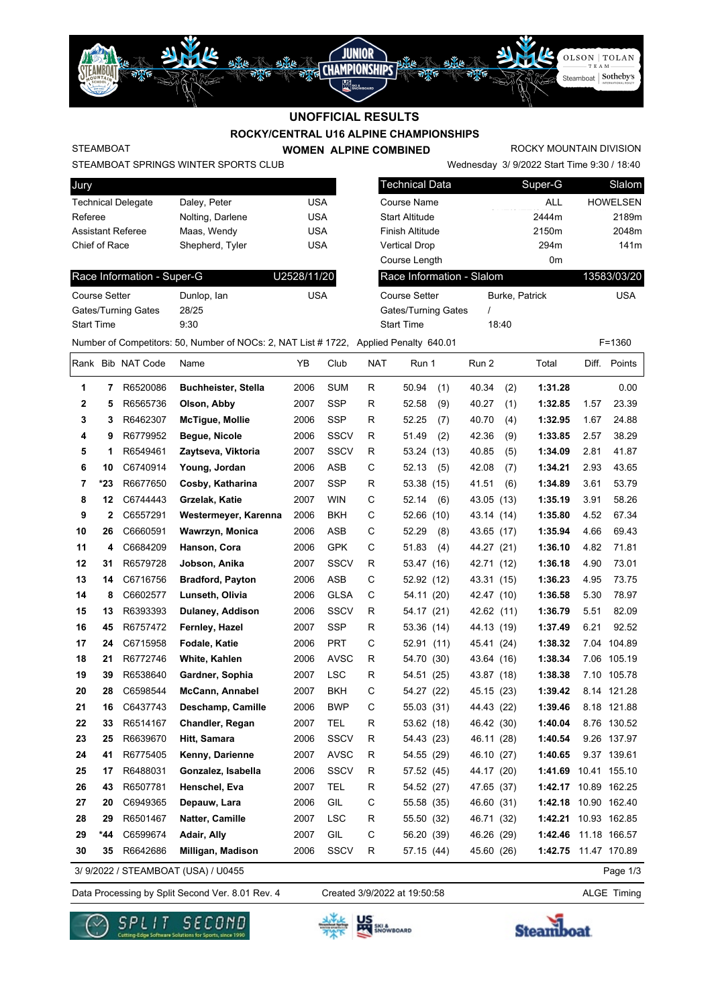## **ROCKY/CENTRAL U16 ALPINE CHAMPIONSHIPS UNOFFICIAL RESULTS**

JUNIOR

**STREET CHAMPIONSHIPS** 

## STEAMBOAT

**WOMEN ALPINE COMBINED**

ROCKY MOUNTAIN DIVISION

OLSON | TOLAN

Steamboat | Sotheby's

STEAMBOAT SPRINGS WINTER SPORTS CLUB

| <b>Jury</b>               |                  |            |
|---------------------------|------------------|------------|
| <b>Technical Delegate</b> | Daley, Peter     | USA        |
| Referee                   | Nolting, Darlene | <b>USA</b> |
| <b>Assistant Referee</b>  | Maas, Wendy      | USA        |
| Chief of Race             | Shepherd, Tyler  | USA        |
|                           |                  |            |

u¥a

عايلان

| Race Information - Super-G |             | U2528/11/20 |
|----------------------------|-------------|-------------|
| <b>Course Setter</b>       | Dunlop, lan | USA         |
| Gates/Turning Gates        | 28/25       |             |
| <b>Start Time</b>          | 9.30        |             |

| JB          |                                                           | Wednesday 3/9/2022 Start Time 9:30 / 18:40 |                 |
|-------------|-----------------------------------------------------------|--------------------------------------------|-----------------|
|             | <b>Technical Data</b>                                     | Super-G                                    | Slalom          |
| <b>USA</b>  | Course Name                                               | <b>ALL</b>                                 | <b>HOWELSEN</b> |
| <b>USA</b>  | <b>Start Altitude</b>                                     | 2444m                                      | 2189m           |
| <b>USA</b>  | Finish Altitude                                           | 2150m                                      | 2048m           |
| <b>USA</b>  | <b>Vertical Drop</b>                                      | 294m                                       | 141m            |
|             | Course Length                                             | 0 <sub>m</sub>                             |                 |
| U2528/11/20 | Race Information - Slalom                                 |                                            | 13583/03/20     |
| <b>USA</b>  | Course Setter<br>Gates/Turning Gates<br><b>Start Time</b> | Burke, Patrick<br>18:40                    | <b>USA</b>      |
|             |                                                           |                                            |                 |

当光

Number of Competitors: 50, Number of NOCs: 2, NAT List # 1722, Applied Penalty 640.01 F=1360

|    |     | Rank Bib NAT Code | Name                       | YB   | Club        | <b>NAT</b>   | Run 1         | Run 2      | Total                | Diff. | Points       |
|----|-----|-------------------|----------------------------|------|-------------|--------------|---------------|------------|----------------------|-------|--------------|
| 1  | 7   | R6520086          | <b>Buchheister, Stella</b> | 2006 | <b>SUM</b>  | R            | 50.94<br>(1)  | 40.34      | 1:31.28<br>(2)       |       | 0.00         |
| 2  | 5   | R6565736          | Olson, Abby                | 2007 | <b>SSP</b>  | R            | 52.58<br>(9)  | 40.27      | 1:32.85<br>(1)       | 1.57  | 23.39        |
| 3  | 3   | R6462307          | <b>McTique, Mollie</b>     | 2006 | <b>SSP</b>  | R            | 52.25<br>(7)  | 40.70      | 1:32.95<br>(4)       | 1.67  | 24.88        |
| 4  | 9   | R6779952          | Begue, Nicole              | 2006 | SSCV        | R            | 51.49<br>(2)  | 42.36      | 1:33.85<br>(9)       | 2.57  | 38.29        |
| 5  | 1   | R6549461          | Zaytseva, Viktoria         | 2007 | <b>SSCV</b> | R            | 53.24 (13)    | 40.85      | (5)<br>1:34.09       | 2.81  | 41.87        |
| 6  | 10  | C6740914          | Young, Jordan              | 2006 | <b>ASB</b>  | C            | 52.13<br>(5)  | 42.08      | 1:34.21<br>(7)       | 2.93  | 43.65        |
| 7  | *23 | R6677650          | Cosby, Katharina           | 2007 | <b>SSP</b>  | R            | 53.38 (15)    | 41.51      | (6)<br>1:34.89       | 3.61  | 53.79        |
| 8  | 12  | C6744443          | Grzelak, Katie             | 2007 | <b>WIN</b>  | C            | 52.14<br>(6)  | 43.05      | (13)<br>1:35.19      | 3.91  | 58.26        |
| 9  | 2   | C6557291          | Westermeyer, Karenna       | 2006 | BKH         | C            | 52.66<br>(10) | 43.14      | 1:35.80<br>(14)      | 4.52  | 67.34        |
| 10 | 26  | C6660591          | Wawrzyn, Monica            | 2006 | ASB         | C            | 52.29<br>(8)  | 43.65 (17) | 1:35.94              | 4.66  | 69.43        |
| 11 | 4   | C6684209          | Hanson, Cora               | 2006 | <b>GPK</b>  | $\mathsf{C}$ | 51.83<br>(4)  | 44.27 (21) | 1:36.10              | 4.82  | 71.81        |
| 12 | 31  | R6579728          | Jobson, Anika              | 2007 | SSCV        | R            | 53.47 (16)    | 42.71 (12) | 1:36.18              | 4.90  | 73.01        |
| 13 | 14  | C6716756          | <b>Bradford, Payton</b>    | 2006 | <b>ASB</b>  | C            | 52.92 (12)    | 43.31 (15) | 1:36.23              | 4.95  | 73.75        |
| 14 | 8   | C6602577          | Lunseth, Olivia            | 2006 | <b>GLSA</b> | C            | 54.11 (20)    | 42.47 (10) | 1:36.58              | 5.30  | 78.97        |
| 15 | 13  | R6393393          | Dulaney, Addison           | 2006 | SSCV        | R            | 54.17 (21)    | 42.62      | 1:36.79<br>(11)      | 5.51  | 82.09        |
| 16 | 45  | R6757472          | Fernley, Hazel             | 2007 | <b>SSP</b>  | R            | 53.36 (14)    | 44.13 (19) | 1:37.49              | 6.21  | 92.52        |
| 17 | 24  | C6715958          | Fodale, Katie              | 2006 | <b>PRT</b>  | C            | 52.91 (11)    | 45.41 (24) | 1:38.32              |       | 7.04 104.89  |
| 18 | 21  | R6772746          | White, Kahlen              | 2006 | <b>AVSC</b> | R            | 54.70 (30)    | 43.64      | 1:38.34<br>(16)      | 7.06  | 105.19       |
| 19 | 39  | R6538640          | Gardner, Sophia            | 2007 | <b>LSC</b>  | R            | 54.51 (25)    | 43.87 (18) | 1:38.38              |       | 7.10 105.78  |
| 20 | 28  | C6598544          | <b>McCann, Annabel</b>     | 2007 | BKH         | C            | 54.27 (22)    | 45.15      | 1:39.42<br>(23)      |       | 8.14 121.28  |
| 21 | 16  | C6437743          | Deschamp, Camille          | 2006 | <b>BWP</b>  | C            | 55.03 (31)    | 44.43      | 1:39.46<br>(22)      |       | 8.18 121.88  |
| 22 | 33  | R6514167          | <b>Chandler, Regan</b>     | 2007 | TEL         | R            | 53.62 (18)    | 46.42 (30) | 1:40.04              |       | 8.76 130.52  |
| 23 | 25  | R6639670          | Hitt, Samara               | 2006 | SSCV        | R            | 54.43 (23)    | 46.11      | 1:40.54<br>(28)      |       | 9.26 137.97  |
| 24 | 41  | R6775405          | Kenny, Darienne            | 2007 | <b>AVSC</b> | R            | 54.55 (29)    | 46.10      | 1:40.65<br>(27)      |       | 9.37 139.61  |
| 25 | 17  | R6488031          | Gonzalez, Isabella         | 2006 | <b>SSCV</b> | R            | 57.52 (45)    | 44.17 (20) | 1:41.69              |       | 10.41 155.10 |
| 26 | 43  | R6507781          | Henschel, Eva              | 2007 | TEL         | R            | 54.52 (27)    | 47.65      | 1:42.17<br>(37)      |       | 10.89 162.25 |
| 27 | 20  | C6949365          | Depauw, Lara               | 2006 | GIL         | C            | 55.58 (35)    | 46.60      | 1:42.18<br>(31)      |       | 10.90 162.40 |
| 28 | 29  | R6501467          | Natter, Camille            | 2007 | LSC         | R            | 55.50 (32)    | 46.71 (32) | 1:42.21              |       | 10.93 162.85 |
| 29 | *44 | C6599674          | Adair, Ally                | 2007 | GIL         | C            | 56.20 (39)    | 46.26      | 1:42.46<br>(29)      |       | 11.18 166.57 |
| 30 | 35  | R6642686          | Milligan, Madison          | 2006 | <b>SSCV</b> | R            | 57.15 (44)    | 45.60 (26) | 1:42.75 11.47 170.89 |       |              |

3/ 9/2022 / STEAMBOAT (USA) / U0455

Data Processing by Split Second Ver. 8.01 Rev. 4 Created 3/9/2022 at 19:50:58 ALGE Timing Created 3/9/2022 at 19:50:58

Page 1/3





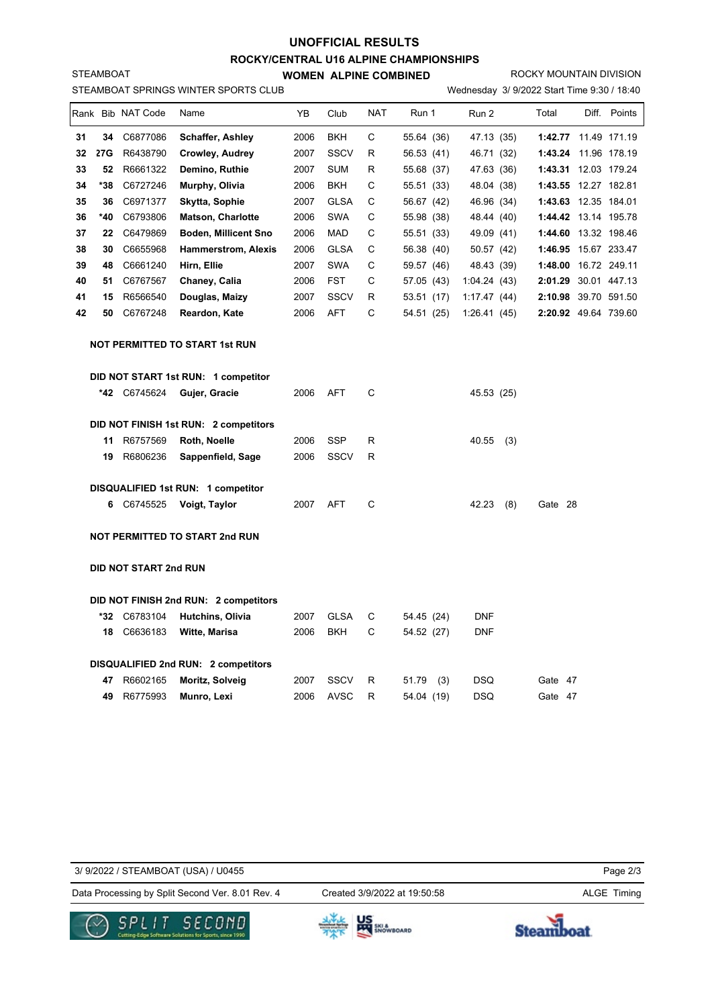## **ROCKY/CENTRAL U16 ALPINE CHAMPIONSHIPS WOMEN ALPINE COMBINED UNOFFICIAL RESULTS**

Wednesday 3/ 9/2022 Start Time 9:30 / 18:40 ROCKY MOUNTAIN DIVISION

|    |     | Rank Bib NAT Code            | Name                                  | ΥB   | Club        | <b>NAT</b> | Run 1        | Run 2        | Total                | Diff. Points |
|----|-----|------------------------------|---------------------------------------|------|-------------|------------|--------------|--------------|----------------------|--------------|
| 31 | 34  | C6877086                     | Schaffer, Ashley                      | 2006 | <b>BKH</b>  | C          | 55.64 (36)   | 47.13 (35)   | 1:42.77 11.49 171.19 |              |
| 32 | 27G | R6438790                     | <b>Crowley, Audrey</b>                | 2007 | SSCV        | R          | 56.53 (41)   | 46.71 (32)   | 1:43.24 11.96 178.19 |              |
| 33 | 52  | R6661322                     | Demino, Ruthie                        | 2007 | <b>SUM</b>  | R          | 55.68 (37)   | 47.63 (36)   | 1:43.31 12.03 179.24 |              |
| 34 | *38 | C6727246                     | Murphy, Olivia                        | 2006 | BKH         | С          | 55.51 (33)   | 48.04 (38)   | 1:43.55 12.27 182.81 |              |
| 35 | 36  | C6971377                     | Skytta, Sophie                        | 2007 | <b>GLSA</b> | C          | 56.67 (42)   | 46.96 (34)   | 1:43.63 12.35 184.01 |              |
| 36 | *40 | C6793806                     | <b>Matson, Charlotte</b>              | 2006 | SWA         | C          | 55.98 (38)   | 48.44 (40)   | 1:44.42 13.14 195.78 |              |
| 37 | 22  | C6479869                     | <b>Boden, Millicent Sno</b>           | 2006 | MAD         | C          | 55.51 (33)   | 49.09 (41)   | 1:44.60 13.32 198.46 |              |
| 38 | 30  | C6655968                     | <b>Hammerstrom, Alexis</b>            | 2006 | <b>GLSA</b> | C          | 56.38 (40)   | 50.57 (42)   | 1:46.95 15.67 233.47 |              |
| 39 | 48  | C6661240                     | Hirn, Ellie                           | 2007 | <b>SWA</b>  | C          | 59.57 (46)   | 48.43 (39)   | 1:48.00 16.72 249.11 |              |
| 40 | 51  | C6767567                     | Chaney, Calia                         | 2006 | <b>FST</b>  | C          | 57.05 (43)   | 1:04.24(43)  | 2:01.29 30.01 447.13 |              |
| 41 | 15  | R6566540                     | Douglas, Maizy                        | 2007 | SSCV        | R          | 53.51 (17)   | 1:17.47(44)  | 2:10.98 39.70 591.50 |              |
| 42 | 50  | C6767248                     | <b>Reardon, Kate</b>                  | 2006 | AFT         | C          | 54.51 (25)   | 1:26.41(45)  | 2:20.92 49.64 739.60 |              |
|    |     |                              | <b>NOT PERMITTED TO START 1st RUN</b> |      |             |            |              |              |                      |              |
|    |     |                              | DID NOT START 1st RUN: 1 competitor   |      |             |            |              |              |                      |              |
|    |     | <b>*42</b> C6745624          | Gujer, Gracie                         | 2006 | AFT         | С          |              | 45.53 (25)   |                      |              |
|    |     |                              | DID NOT FINISH 1st RUN: 2 competitors |      |             |            |              |              |                      |              |
|    | 11  | R6757569                     | Roth, Noelle                          | 2006 | <b>SSP</b>  | R          |              | 40.55<br>(3) |                      |              |
|    | 19  | R6806236                     | Sappenfield, Sage                     | 2006 | SSCV        | R          |              |              |                      |              |
|    |     |                              | DISQUALIFIED 1st RUN: 1 competitor    |      |             |            |              |              |                      |              |
|    |     | 6 C6745525                   | Voigt, Taylor                         | 2007 | AFT         | C          |              | 42.23<br>(8) | Gate 28              |              |
|    |     |                              | <b>NOT PERMITTED TO START 2nd RUN</b> |      |             |            |              |              |                      |              |
|    |     | <b>DID NOT START 2nd RUN</b> |                                       |      |             |            |              |              |                      |              |
|    |     |                              | DID NOT FINISH 2nd RUN: 2 competitors |      |             |            |              |              |                      |              |
|    | *32 | C6783104                     | Hutchins, Olivia                      | 2007 | <b>GLSA</b> | С          | 54.45 (24)   | <b>DNF</b>   |                      |              |
|    | 18  | C6636183                     | Witte, Marisa                         | 2006 | BKH         | C          | 54.52 (27)   | DNF          |                      |              |
|    |     |                              | DISQUALIFIED 2nd RUN: 2 competitors   |      |             |            |              |              |                      |              |
|    | 47  | R6602165                     | Moritz, Solveig                       | 2007 | SSCV        | R          | 51.79<br>(3) | <b>DSQ</b>   | Gate 47              |              |
|    | 49  | R6775993                     | Munro, Lexi                           | 2006 | AVSC        | R          | 54.04 (19)   | DSQ          | Gate 47              |              |

Page 2/3 Data Processing by Split Second Ver. 8.01 Rev. 4 Created 3/9/2022 at 19:50:58 ALGE Timing 3/ 9/2022 / STEAMBOAT (USA) / U0455 Created 3/9/2022 at 19:50:58



STEAMBOAT SPRINGS WINTER SPORTS CLUB

STEAMBOAT